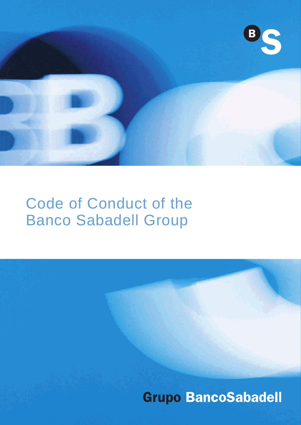

# Code of Conduct of the Banco Sabadell Group

**Grupo BancoSabadell**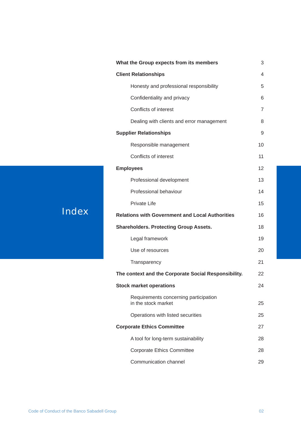| What the Group expects from its members                      | 3                        |
|--------------------------------------------------------------|--------------------------|
| <b>Client Relationships</b>                                  | $\overline{\mathcal{A}}$ |
| Honesty and professional responsibility                      | 5                        |
| Confidentiality and privacy                                  | 6                        |
| Conflicts of interest                                        | $\overline{7}$           |
| Dealing with clients and error management                    | 8                        |
| <b>Supplier Relationships</b>                                | 9                        |
| Responsible management                                       | 10                       |
| Conflicts of interest                                        | 11                       |
| <b>Employees</b>                                             | 12                       |
| Professional development                                     | 13                       |
| Professional behaviour                                       | 14                       |
| <b>Private Life</b>                                          | 15                       |
| <b>Relations with Government and Local Authorities</b>       | 16                       |
| <b>Shareholders. Protecting Group Assets.</b>                | 18                       |
| Legal framework                                              | 19                       |
| Use of resources                                             | 20                       |
| Transparency                                                 | 21                       |
| The context and the Corporate Social Responsibility.         | 22                       |
| <b>Stock market operations</b>                               | 24                       |
| Requirements concerning participation<br>in the stock market | 25                       |
| Operations with listed securities                            | 25                       |
| <b>Corporate Ethics Committee</b>                            | 27                       |
| A tool for long-term sustainability                          | 28                       |
| <b>Corporate Ethics Committee</b>                            | 28                       |
| Communication channel                                        | 29                       |

## Index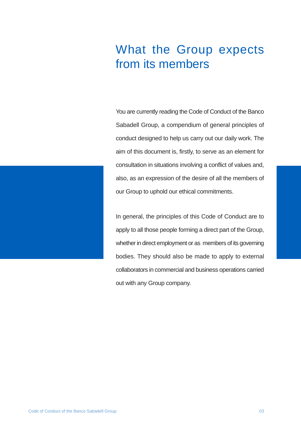## What the Group expects from its members

You are currently reading the Code of Conduct of the Banco Sabadell Group, a compendium of general principles of conduct designed to help us carry out our daily work. The aim of this document is, firstly, to serve as an element for consultation in situations involving a conflict of values and, also, as an expression of the desire of all the members of our Group to uphold our ethical commitments.

In general, the principles of this Code of Conduct are to apply to all those people forming a direct part of the Group, whether in direct employment or as members of its governing bodies. They should also be made to apply to external collaborators in commercial and business operations carried out with any Group company.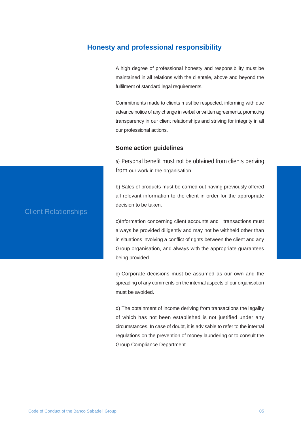#### **Honesty and professional responsibility**

A high degree of professional honesty and responsibility must be maintained in all relations with the clientele, above and beyond the fulfilment of standard legal requirements.

Commitments made to clients must be respected, informing with due advance notice of any change in verbal or written agreements, promoting transparency in our client relationships and striving for integrity in all our professional actions.

#### **Some action guidelines**

a) Personal benefit must not be obtained from clients deriving from our work in the organisation.

b) Sales of products must be carried out having previously offered all relevant information to the client in order for the appropriate decision to be taken.

c)Information concerning client accounts and transactions must always be provided diligently and may not be withheld other than in situations involving a conflict of rights between the client and any Group organisation, and always with the appropriate guarantees being provided.

c) Corporate decisions must be assumed as our own and the spreading of any comments on the internal aspects of our organisation must be avoided.

d) The obtainment of income deriving from transactions the legality of which has not been established is not justified under any circumstances. In case of doubt, it is advisable to refer to the internal regulations on the prevention of money laundering or to consult the Group Compliance Department.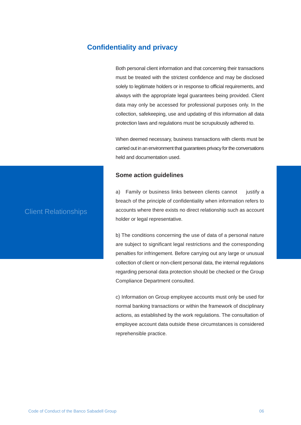#### **Confidentiality and privacy**

Both personal client information and that concerning their transactions must be treated with the strictest confidence and may be disclosed solely to legitimate holders or in response to official requirements, and always with the appropriate legal guarantees being provided. Client data may only be accessed for professional purposes only. In the collection, safekeeping, use and updating of this information all data protection laws and regulations must be scrupulously adhered to.

When deemed necessary, business transactions with clients must be carried out in an environment that guarantees privacy for the conversations held and documentation used.

#### **Some action guidelines**

a) Family or business links between clients cannot justify a breach of the principle of confidentiality when information refers to accounts where there exists no direct relationship such as account holder or legal representative.

b) The conditions concerning the use of data of a personal nature are subject to significant legal restrictions and the corresponding penalties for infringement. Before carrying out any large or unusual collection of client or non-client personal data, the internal regulations regarding personal data protection should be checked or the Group Compliance Department consulted.

c) Information on Group employee accounts must only be used for normal banking transactions or within the framework of disciplinary actions, as established by the work regulations. The consultation of employee account data outside these circumstances is considered reprehensible practice.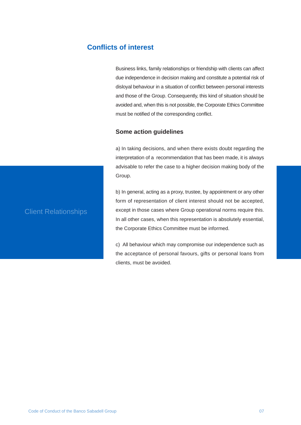## **Conflicts of interest**

Business links, family relationships or friendship with clients can affect due independence in decision making and constitute a potential risk of disloyal behaviour in a situation of conflict between personal interests and those of the Group. Consequently, this kind of situation should be avoided and, when this is not possible, the Corporate Ethics Committee must be notified of the corresponding conflict.

#### **Some action guidelines**

a) In taking decisions, and when there exists doubt regarding the interpretation of a recommendation that has been made, it is always advisable to refer the case to a higher decision making body of the Group.

b) In general, acting as a proxy, trustee, by appointment or any other form of representation of client interest should not be accepted, except in those cases where Group operational norms require this. In all other cases, when this representation is absolutely essential, the Corporate Ethics Committee must be informed.

c) All behaviour which may compromise our independence such as the acceptance of personal favours, gifts or personal loans from clients, must be avoided.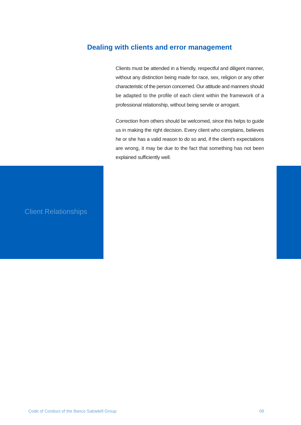## **Dealing with clients and error management**

Clients must be attended in a friendly, respectful and diligent manner, without any distinction being made for race, sex, religion or any other characteristic of the person concerned. Our attitude and manners should be adapted to the profile of each client within the framework of a professional relationship, without being servile or arrogant.

Correction from others should be welcomed, since this helps to guide us in making the right decision. Every client who complains, believes he or she has a valid reason to do so and, if the client's expectations are wrong, it may be due to the fact that something has not been explained sufficiently well.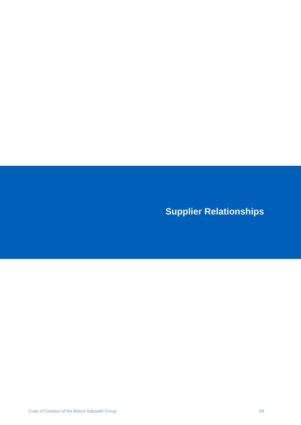**Supplier Relationships**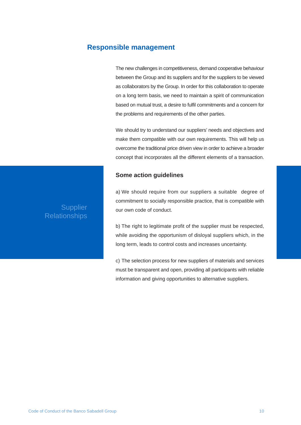#### **Responsible management**

The new challenges in competitiveness, demand cooperative behaviour between the Group and its suppliers and for the suppliers to be viewed as collaborators by the Group. In order for this collaboration to operate on a long term basis, we need to maintain a spirit of communication based on mutual trust, a desire to fulfil commitments and a concern for the problems and requirements of the other parties.

We should try to understand our suppliers' needs and objectives and make them compatible with our own requirements. This will help us overcome the traditional price driven view in order to achieve a broader concept that incorporates all the different elements of a transaction.

#### **Some action guidelines**

a) We should require from our suppliers a suitable degree of commitment to socially responsible practice, that is compatible with our own code of conduct.

b) The right to legitimate profit of the supplier must be respected, while avoiding the opportunism of disloyal suppliers which, in the long term, leads to control costs and increases uncertainty.

c) The selection process for new suppliers of materials and services must be transparent and open, providing all participants with reliable information and giving opportunities to alternative suppliers.

## **Supplier Relationships**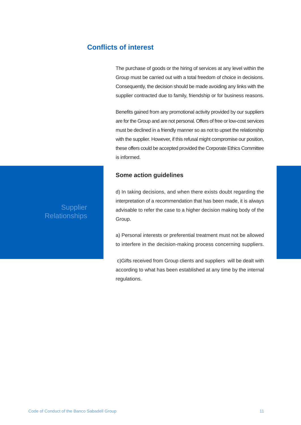## **Conflicts of interest**

The purchase of goods or the hiring of services at any level within the Group must be carried out with a total freedom of choice in decisions. Consequently, the decision should be made avoiding any links with the supplier contracted due to family, friendship or for business reasons.

Benefits gained from any promotional activity provided by our suppliers are for the Group and are not personal. Offers of free or low-cost services must be declined in a friendly manner so as not to upset the relationship with the supplier. However, if this refusal might compromise our position, these offers could be accepted provided the Corporate Ethics Committee is informed.

#### **Some action guidelines**

d) In taking decisions, and when there exists doubt regarding the interpretation of a recommendation that has been made, it is always advisable to refer the case to a higher decision making body of the Group.

a) Personal interests or preferential treatment must not be allowed to interfere in the decision-making process concerning suppliers.

 c)Gifts received from Group clients and suppliers will be dealt with according to what has been established at any time by the internal regulations.

## **Supplier Relationships**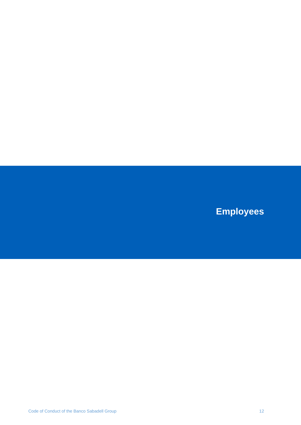**Employees**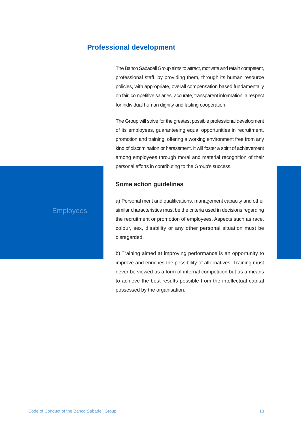## **Professional development**

The Banco Sabadell Group aims to attract, motivate and retain competent, professional staff, by providing them, through its human resource policies, with appropriate, overall compensation based fundamentally on fair, competitive salaries, accurate, transparent information, a respect for individual human dignity and lasting cooperation.

The Group will strive for the greatest possible professional development of its employees, guaranteeing equal opportunities in recruitment, promotion and training, offering a working environment free from any kind of discrimination or harassment. It will foster a spirit of achievement among employees through moral and material recognition of their personal efforts in contributing to the Group's success.

#### **Some action guidelines**

#### Employees

a) Personal merit and qualifications, management capacity and other similar characteristics must be the criteria used in decisions regarding the recruitment or promotion of employees. Aspects such as race, colour, sex, disability or any other personal situation must be disregarded.

b) Training aimed at improving performance is an opportunity to improve and enriches the possibility of alternatives. Training must never be viewed as a form of internal competition but as a means to achieve the best results possible from the intellectual capital possessed by the organisation.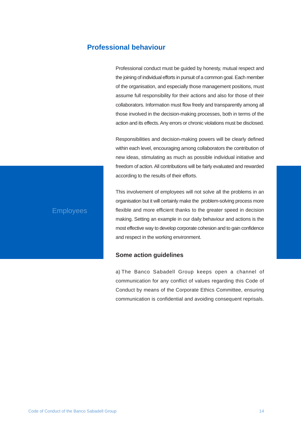### **Professional behaviour**

Professional conduct must be guided by honesty, mutual respect and the joining of individual efforts in pursuit of a common goal. Each member of the organisation, and especially those management positions, must assume full responsibility for their actions and also for those of their collaborators. Information must flow freely and transparently among all those involved in the decision-making processes, both in terms of the action and its effects. Any errors or chronic violations must be disclosed.

Responsibilities and decision-making powers will be clearly defined within each level, encouraging among collaborators the contribution of new ideas, stimulating as much as possible individual initiative and freedom of action. All contributions will be fairly evaluated and rewarded according to the results of their efforts.

#### Employees

This involvement of employees will not solve all the problems in an organisation but it will certainly make the problem-solving process more flexible and more efficient thanks to the greater speed in decision making. Setting an example in our daily behaviour and actions is the most effective way to develop corporate cohesion and to gain confidence and respect in the working environment.

#### **Some action guidelines**

a) The Banco Sabadell Group keeps open a channel of communication for any conflict of values regarding this Code of Conduct by means of the Corporate Ethics Committee, ensuring communication is confidential and avoiding consequent reprisals.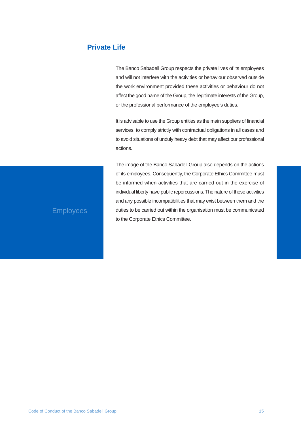## **Private Life**

The Banco Sabadell Group respects the private lives of its employees and will not interfere with the activities or behaviour observed outside the work environment provided these activities or behaviour do not affect the good name of the Group, the legitimate interests of the Group, or the professional performance of the employee's duties.

It is advisable to use the Group entities as the main suppliers of financial services, to comply strictly with contractual obligations in all cases and to avoid situations of unduly heavy debt that may affect our professional actions.

The image of the Banco Sabadell Group also depends on the actions of its employees. Consequently, the Corporate Ethics Committee must be informed when activities that are carried out in the exercise of individual liberty have public repercussions. The nature of these activities and any possible incompatibilities that may exist between them and the duties to be carried out within the organisation must be communicated to the Corporate Ethics Committee.

## **Employees**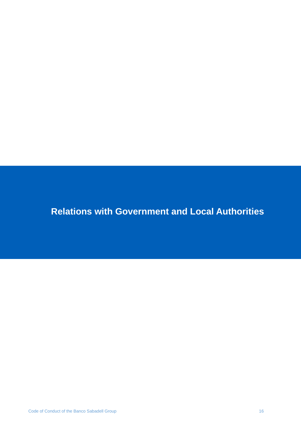**Relations with Government and Local Authorities**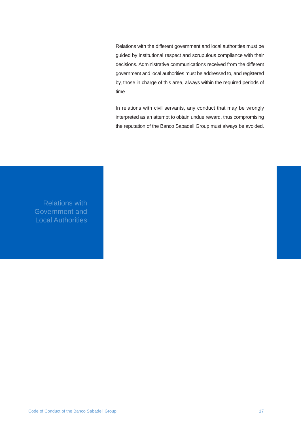Relations with the different government and local authorities must be guided by institutional respect and scrupulous compliance with their decisions. Administrative communications received from the different government and local authorities must be addressed to, and registered by, those in charge of this area, always within the required periods of time.

In relations with civil servants, any conduct that may be wrongly interpreted as an attempt to obtain undue reward, thus compromising the reputation of the Banco Sabadell Group must always be avoided.

Relations with Government and Local Authorities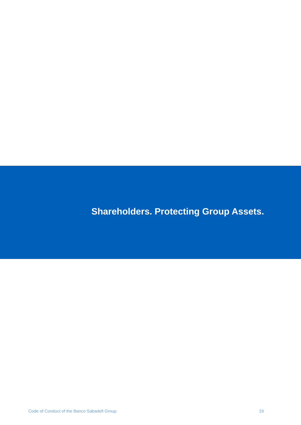**Shareholders. Protecting Group Assets.**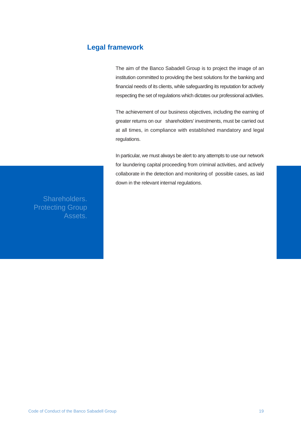## **Legal framework**

The aim of the Banco Sabadell Group is to project the image of an institution committed to providing the best solutions for the banking and financial needs of its clients, while safeguarding its reputation for actively respecting the set of regulations which dictates our professional activities.

The achievement of our business objectives, including the earning of greater returns on our shareholders' investments, must be carried out at all times, in compliance with established mandatory and legal regulations.

In particular, we must always be alert to any attempts to use our network for laundering capital proceeding from criminal activities, and actively collaborate in the detection and monitoring of possible cases, as laid down in the relevant internal regulations.

Shareholders. Protecting Group Assets.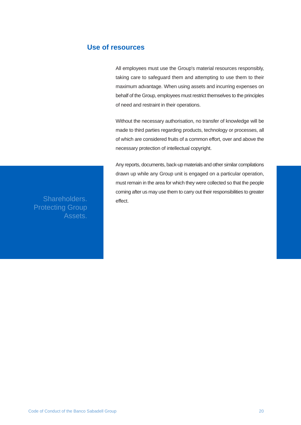### **Use of resources**

All employees must use the Group's material resources responsibly, taking care to safeguard them and attempting to use them to their maximum advantage. When using assets and incurring expenses on behalf of the Group, employees must restrict themselves to the principles of need and restraint in their operations.

Without the necessary authorisation, no transfer of knowledge will be made to third parties regarding products, technology or processes, all of which are considered fruits of a common effort, over and above the necessary protection of intellectual copyright.

Any reports, documents, back-up materials and other similar compilations drawn up while any Group unit is engaged on a particular operation, must remain in the area for which they were collected so that the people coming after us may use them to carry out their responsibilities to greater

Shareholders. effect. Protecting Group Assets.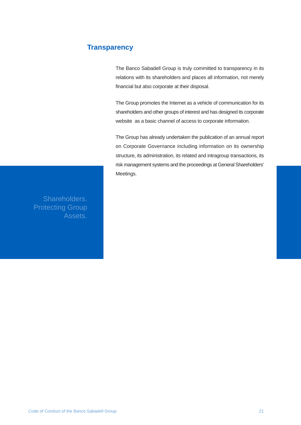## **Transparency**

The Banco Sabadell Group is truly committed to transparency in its relations with its shareholders and places all information, not merely financial but also corporate at their disposal.

The Group promotes the Internet as a vehicle of communication for its shareholders and other groups of interest and has designed its corporate website as a basic channel of access to corporate information.

The Group has already undertaken the publication of an annual report on Corporate Governance including information on its ownership structure, its administration, its related and intragroup transactions, its risk management systems and the proceedings at General Shareholders' Meetings.

Shareholders. Protecting Group Assets.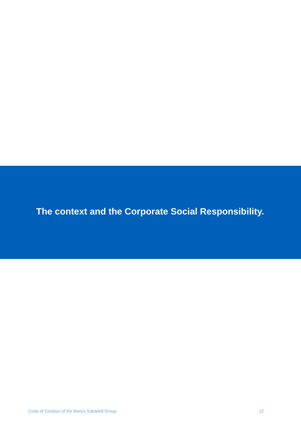**The context and the Corporate Social Responsibility.**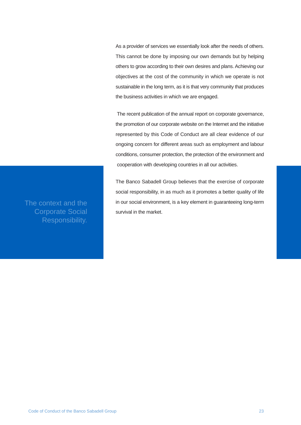As a provider of services we essentially look after the needs of others. This cannot be done by imposing our own demands but by helping others to grow according to their own desires and plans. Achieving our objectives at the cost of the community in which we operate is not sustainable in the long term, as it is that very community that produces the business activities in which we are engaged.

 The recent publication of the annual report on corporate governance, the promotion of our corporate website on the Internet and the initiative represented by this Code of Conduct are all clear evidence of our ongoing concern for different areas such as employment and labour conditions, consumer protection, the protection of the environment and cooperation with developing countries in all our activities.

The Banco Sabadell Group believes that the exercise of corporate social responsibility, in as much as it promotes a better quality of life in our social environment, is a key element in guaranteeing long-term survival in the market.

The context and the Corporate Social Responsibility.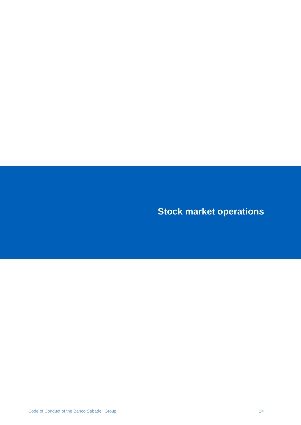**Stock market operations**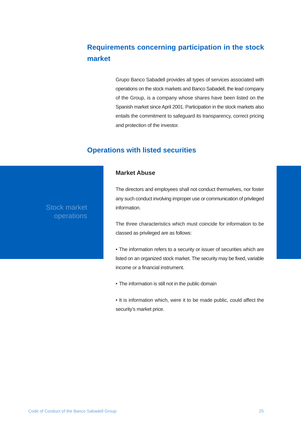## **Requirements concerning participation in the stock market**

Grupo Banco Sabadell provides all types of services associated with operations on the stock markets and Banco Sabadell, the lead company of the Group, is a company whose shares have been listed on the Spanish market since April 2001. Participation in the stock markets also entails the commitment to safeguard its transparency, correct pricing and protection of the investor.

## **Operations with listed securities**

#### **Market Abuse**

The directors and employees shall not conduct themselves, nor foster any such conduct involving improper use or communication of privileged information.

The three characteristics which must coincide for information to be classed as privileged are as follows:

- The information refers to a security or issuer of securities which are listed on an organized stock market. The security may be fixed, variable income or a financial instrument.
- The information is still not in the public domain
- It is information which, were it to be made public, could affect the security's market price.

Stock market operations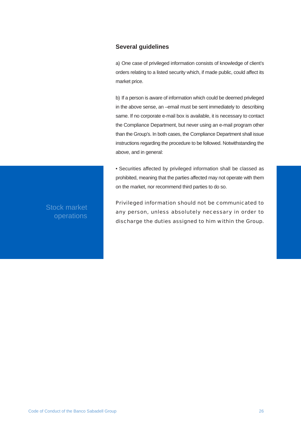#### **Several guidelines**

a) One case of privileged information consists of knowledge of client's orders relating to a listed security which, if made public, could affect its market price.

b) If a person is aware of information which could be deemed privileged in the above sense, an –email must be sent immediately to describing same. If no corporate e-mail box is available, it is necessary to contact the Compliance Department, but never using an e-mail program other than the Group's. In both cases, the Compliance Department shall issue instructions regarding the procedure to be followed. Notwithstanding the above, and in general:

• Securities affected by privileged information shall be classed as prohibited, meaning that the parties affected may not operate with them on the market, nor recommend third parties to do so.

Privileged information should not be communicated to any person, unless absolutely necessary in order to discharge the duties assigned to him within the Group.

Stock market operations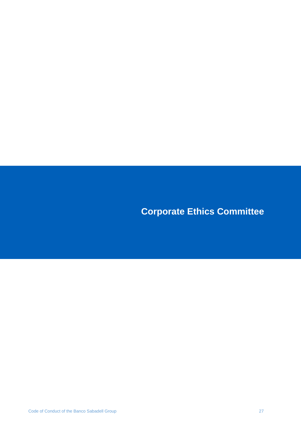**Corporate Ethics Committee**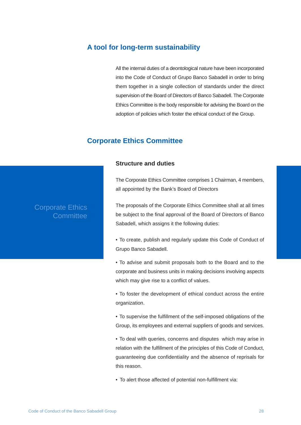#### **A tool for long-term sustainability**

All the internal duties of a deontological nature have been incorporated into the Code of Conduct of Grupo Banco Sabadell in order to bring them together in a single collection of standards under the direct supervision of the Board of Directors of Banco Sabadell. The Corporate Ethics Committee is the body responsible for advising the Board on the adoption of policies which foster the ethical conduct of the Group.

#### **Corporate Ethics Committee**

#### **Structure and duties**

The Corporate Ethics Committee comprises 1 Chairman, 4 members, all appointed by the Bank's Board of Directors

The proposals of the Corporate Ethics Committee shall at all times be subject to the final approval of the Board of Directors of Banco Sabadell, which assigns it the following duties:

- • To create, publish and regularly update this Code of Conduct of Grupo Banco Sabadell.
- To advise and submit proposals both to the Board and to the corporate and business units in making decisions involving aspects which may give rise to a conflict of values.
- • To foster the development of ethical conduct across the entire organization.
- To supervise the fulfillment of the self-imposed obligations of the Group, its employees and external suppliers of goods and services.

• To deal with queries, concerns and disputes which may arise in relation with the fulfillment of the principles of this Code of Conduct, guaranteeing due confidentiality and the absence of reprisals for this reason.

• To alert those affected of potential non-fulfillment via:

## Corporate Ethics **Committee**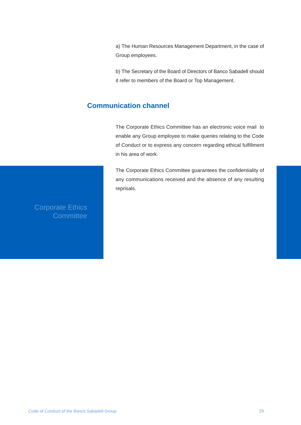a) The Human Resources Management Department, in the case of Group employees.

b) The Secretary of the Board of Directors of Banco Sabadell should it refer to members of the Board or Top Management.

## **Communication channel**

The Corporate Ethics Committee has an electronic voice mail to enable any Group employee to make queries relating to the Code of Conduct or to express any concern regarding ethical fulfillment in his area of work.

The Corporate Ethics Committee guarantees the confidentiality of any communications received and the absence of any resulting reprisals.

Corporate Ethics **Committee**